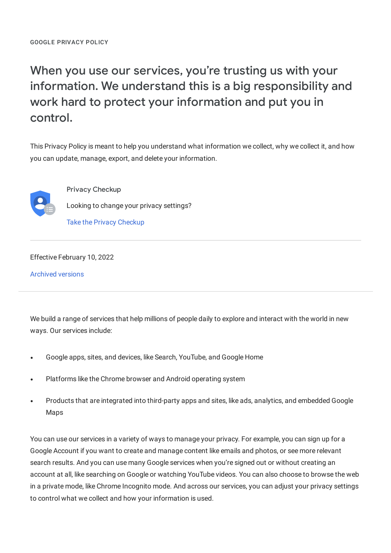# When you use our services, you're trusting us with your information. We understand this is a big responsibility and work hard to protect your information and put you in control.

This Privacy Policy is meant to help you understand what information we collect, why we collect it, and how you can update, manage, export, and delete your information.



Privacy Checkup

Looking to change your privacy settings?

Take the Privacy [Checkup](https://myaccount.google.com/privacycheckup?utm_source=pp&utm_medium=Promo-in-product&utm_campaign=pp_intro)

Effective February 10, 2022

[Archived](https://policies.google.com/privacy/archive) versions

We build a range of services that help millions of people daily to explore and interact with the world in new ways. Our services include:

- Google apps, sites, and devices, like Search, YouTube, and Google Home
- Platforms like the Chrome browser and Android operating system
- Products that are integrated into third-party apps and sites, like ads, analytics, and embedded Google Maps

You can use our services in a variety of ways to manage your privacy. For example, you can sign up for a Google Account if you want to create and manage content like emails and photos, or see more relevant search results. And you can use many Google services when you're signed out or without creating an account at all, like searching on Google or watching YouTube videos. You can also choose to browse the web in a private mode, like Chrome Incognito mode. And across our services, you can adjust your privacy settings to control what we collect and how your information is used.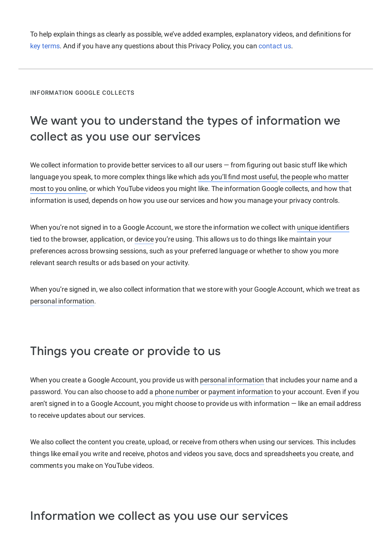To help explain things as clearly as possible, we've added examples, explanatory videos, and definitions for key [terms](https://policies.google.com/privacy/key-terms#key-terms). And if you have any questions about this Privacy Policy, you can [contact](https://support.google.com/policies?p=privpol_privts) us.

INFORMATION GOOGLE COLLECTS

# We want you to understand the types of information we collect as you use our services

We collect information to provide better services to all our users - from figuring out basic stuff like which language you speak, to more complex things like which ads you'll find most [useful](#page-22-0), the people who matter most to you online, or which YouTube videos you might like. The [information](#page-29-0) Google collects, and how that information is used, depends on how you use our services and how you manage your privacy controls.

When you're not signed in to a Google Account, we store the information we collect with unique [identifiers](#page-21-0) tied to the browser, application, or [device](#page-19-0) you're using. This allows us to do things like maintain your preferences across browsing sessions, such as your preferred language or whether to show you more relevant search results or ads based on your activity.

When you're signed in, we also collect information that we store with your Google Account, which we treat as personal [information.](#page-20-0)

## Things you create or provide to us

When you create a Google Account, you provide us with personal [information](#page-20-0) that includes your name and a password. You can also choose to add a phone [number](#page-26-0) or payment [information](#page-26-1) to your account. Even if you aren't signed in to a Google Account, you might choose to provide us with information — like an email address to receive updates about our services.

We also collect the content you create, upload, or receive from others when using our services. This includes things like email you write and receive, photos and videos you save, docs and spreadsheets you create, and comments you make on YouTube videos.

## Information we collect as you use our services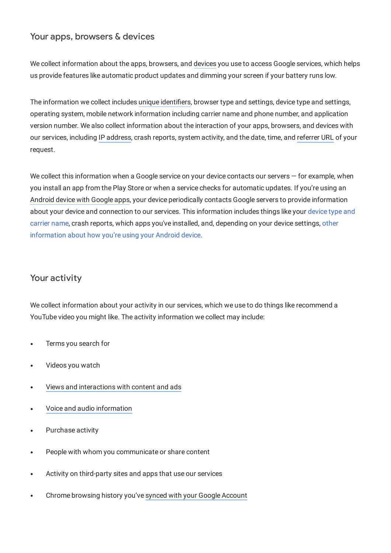#### Your apps, browsers & devices

We collect information about the apps, browsers, and [devices](#page-24-0) you use to access Google services, which helps us provide features like automatic product updates and dimming your screen if your battery runs low.

The information we collect includes unique [identifiers](#page-21-0), browser type and settings, device type and settings, operating system, mobile network information including carrier name and phone number, and application version number. We also collect information about the interaction of your apps, browsers, and devices with our services, including IP [address,](#page-20-1) crash reports, system activity, and the date, time, and [referrer](#page-20-2) URL of your request.

We collect this information when a Google service on your device contacts our servers – for example, when you install an app from the Play Store or when a service checks for automatic updates. If you're using an [Android](#page-22-1) device with Google apps, your device periodically contacts Google servers to provide information about your device and connection to our services. This [information](https://support.google.com/android/answer/9021432) includes things like your device type and carrier name, crash reports, which apps you've installed, and, depending on your device settings, other [information](https://support.google.com/accounts/answer/6078260) about how you're using your Android device.

### Your activity

We collect information about your activity in our services, which we use to do things like recommend a YouTube video you might like. The activity information we collect may include:

- Terms you search for  $\bullet$
- Videos you watch  $\bullet$
- Views and [interactions](#page-29-1) with content and ads
- Voice and audio [information](#page-30-0)
- Purchase activity
- People with whom you communicate or share content
- Activity on third-party sites and apps that use our services
- Chrome browsing history you've synced with your Google [Account](#page-29-2)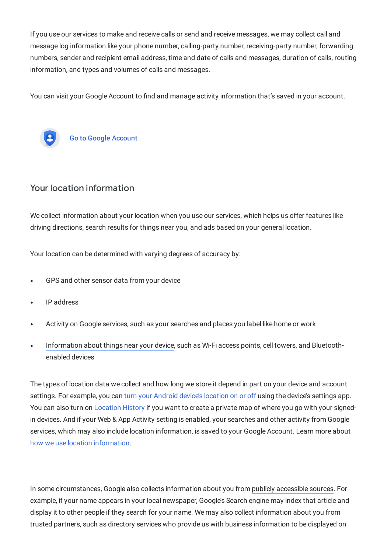If you use our services to make and receive calls or send and receive [messages](#page-28-0), we may collect call and message log information like your phone number, calling-party number, receiving-party number, forwarding numbers, sender and recipient email address, time and date of calls and messages, duration of calls, routing information, and types and volumes of calls and messages.

You can visit your Google Account to find and manage activity information that's saved in your account.



#### Go to Google [Account](https://myaccount.google.com/?utm_source=pp)

### Your location information

We collect information about your location when you use our services, which helps us offer features like driving directions, search results for things near you, and ads based on your general location.

Your location can be determined with varying degrees of accuracy by:

- GPS and other [sensor](#page-28-1) data from your device
- IP [address](#page-20-1)
- Activity on Google services, such as your searches and places you label like home or work
- [Information](#page-25-0) about things near your device, such as Wi-Fi access points, cell towers, and Bluetoothenabled devices

The types of location data we collect and how long we store it depend in part on your device and account settings. For example, you can turn your Android device's [location](https://support.google.com/accounts?p=privpol_location) on or off using the device's settings app. You can also turn on [Location](https://support.google.com/accounts?p=privpol_lochistory) History if you want to create a private map of where you go with your signedin devices. And if your Web & App Activity setting is enabled, your searches and other activity from Google services, which may also include location information, is saved to your Google Account. Learn more about how we use location [information.](https://policies.google.com/technologies/location-data)

In some circumstances, Google also collects information about you from publicly [accessible](#page-27-0) sources. For example, if your name appears in your local newspaper, Google's Search engine may index that article and display it to other people if they search for your name. We may also collect information about you from trusted partners, such as directory services who provide us with business information to be displayed on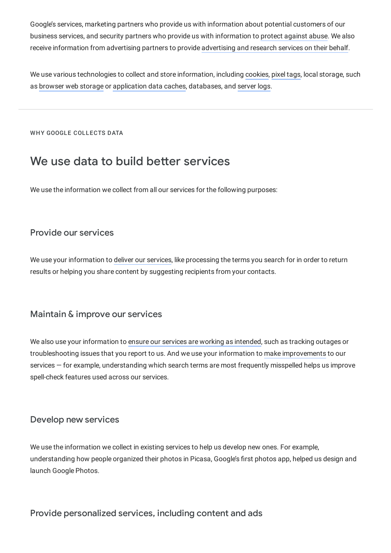Google's services, marketing partners who provide us with information about potential customers of our business services, and security partners who provide us with information to protect [against](#page-27-1) abuse. We also receive information from advertising partners to provide [advertising](#page-22-2) and research services on their behalf.

We use various technologies to collect and store information, including [cookies](#page-19-1), [pixel](#page-20-3) tags, local storage, such as [browser](#page-19-2) web storage or [application](#page-19-3) data caches, databases, and [server](#page-21-1) logs.

WHY GOOGLE COLLECTS DATA

## We use data to build better services

We use the information we collect from all our services for the following purposes:

### Provide our services

We use your information to deliver our [services](#page-24-1), like processing the terms you search for in order to return results or helping you share content by suggesting recipients from your contacts.

#### Maintain & improve our services

We also use your information to ensure our services are working as [intended,](#page-25-1) such as tracking outages or troubleshooting issues that you report to us. And we use your information to make [improvements](#page-25-2) to our services — for example, understanding which search terms are most frequently misspelled helps us improve spell-check features used across our services.

#### Develop new services

We use the information we collect in existing services to help us develop new ones. For example, understanding how people organized their photos in Picasa, Google's first photos app, helped us design and launch Google Photos.

Provide personalized services, including content and ads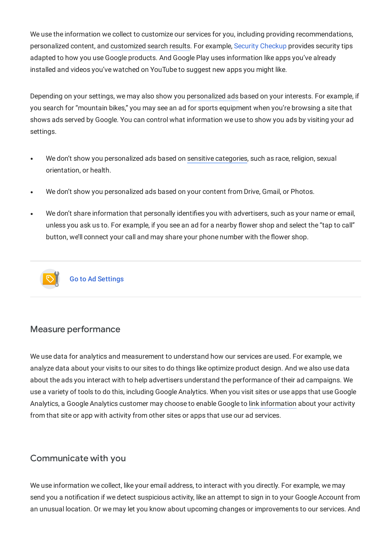We use the information we collect to customize our services for you, including providing recommendations, personalized content, and [customized](#page-23-0) search results. For example, Security [Checkup](https://myaccount.google.com/security-checkup?utm_source=pp) provides security tips adapted to how you use Google products. And Google Play uses information like apps you've already installed and videos you've watched on YouTube to suggest new apps you might like.

Depending on your settings, we may also show you [personalized](#page-26-2) ads based on your interests. For example, if you search for "mountain bikes," you may see an ad for sports equipment when you're browsing a site that shows ads served by Google. You can control what information we use to show you ads by visiting your ad settings.

- We don't show you personalized ads based on sensitive [categories,](#page-27-2) such as race, religion, sexual orientation, or health.
- We don't show you personalized ads based on your content from Drive, Gmail, or Photos.
- We don't share information that personally identifies you with advertisers, such as your name or email, unless you ask us to. For example, if you see an ad for a nearby flower shop and select the "tap to call" button, we'll connect your call and may share your phone number with the flower shop.



Go to Ad [Settings](https://adssettings.google.com/?ref=privacy-policy)

### Measure performance

We use data for analytics and measurement to understand how our services are used. For example, we analyze data about your visits to our sites to do things like optimize product design. And we also use data about the ads you interact with to help advertisers understand the performance of their ad campaigns. We use a variety of tools to do this, including Google Analytics. When you visit sites or use apps that use Google Analytics, a Google Analytics customer may choose to enable Google to link [information](#page-26-3) about your activity from that site or app with activity from other sites or apps that use our ad services.

#### Communicate with you

We use information we collect, like your email address, to interact with you directly. For example, we may send you a notification if we detect suspicious activity, like an attempt to sign in to your Google Account from an unusual location. Or we may let you know about upcoming changes or improvements to our services. And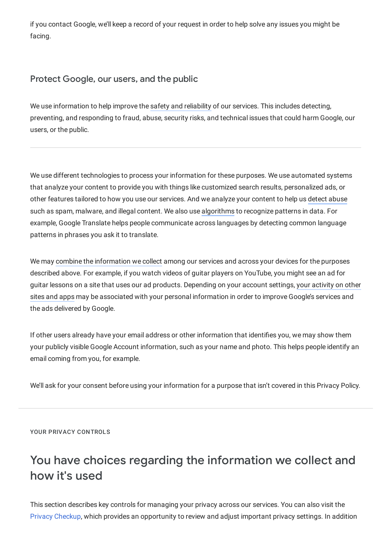if you contact Google, we'll keep a record of your request in order to help solve any issues you might be facing.

#### Protect Google, our users, and the public

We use information to help improve the safety and [reliability](#page-27-3) of our services. This includes detecting, preventing, and responding to fraud, abuse, security risks, and technical issues that could harm Google, our users, or the public.

We use different technologies to process your information for these purposes. We use automated systems that analyze your content to provide you with things like customized search results, personalized ads, or other features tailored to how you use our services. And we analyze your content to help us [detect](#page-24-2) abuse such as spam, malware, and illegal content. We also use [algorithms](#page-19-4) to recognize patterns in data. For example, Google Translate helps people communicate across languages by detecting common language patterns in phrases you ask it to translate.

We may combine the [information](#page-23-1) we collect among our services and across your devices for the purposes described above. For example, if you watch videos of guitar players on YouTube, you might see an ad for guitar lessons on a site that uses our ad products. Depending on your account settings, your activity on other sites and apps may be associated with your personal [information](#page-30-1) in order to improve Google's services and the ads delivered by Google.

If other users already have your email address or other information that identifies you, we may show them your publicly visible Google Account information, such as your name and photo. This helps people identify an email coming from you, for example.

We'll ask for your consent before using your information for a purpose that isn't covered in this Privacy Policy.

YOUR PRIVACY CONTROLS

# You have choices regarding the information we collect and how it's used

This section describes key controls for managing your privacy across our services. You can also visit the Privacy [Checkup](https://myaccount.google.com/privacycheckup?utm_source=pp&utm_medium=Promo-in-product&utm_campaign=pp_body), which provides an opportunity to review and adjust important privacy settings. In addition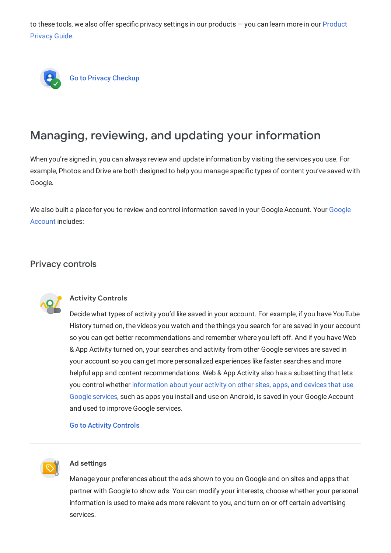to these tools, we also offer specific privacy settings in our [products](https://policies.google.com/technologies/product-privacy) — you can learn more in our Product Privacy Guide.



Go to Privacy [Checkup](https://myaccount.google.com/privacycheckup?utm_source=pp&utm_medium=Promo-in-product&utm_campaign=pp_body)

# Managing, reviewing, and updating your information

When you're signed in, you can always review and update information by visiting the services you use. For example, Photos and Drive are both designed to help you manage specific types of content you've saved with Google.

We also built a place for you to review and control [information](https://myaccount.google.com/) saved in your Google Account. Your Google Account includes:

#### Privacy controls



#### **Activity Controls**

Decide what types of activity you'd like saved in your account. For example, if you have YouTube History turned on, the videos you watch and the things you search for are saved in your account so you can get better recommendations and remember where you left off. And if you have Web & App Activity turned on, your searches and activity from other Google services are saved in your account so you can get more personalized experiences like faster searches and more helpful app and content recommendations. Web & App Activity also has a subsetting that lets you control whether [information](https://support.google.com/websearch/answer/54068#zippy=%2Cinfo-about-your-browsing-and-other-activity-on-sites-apps-and-devices-that-use-google-services) about your activity on other sites, apps, and devices that use Google services, such as apps you install and use on Android, is saved in your Google Account and used to improve Google services.

#### Go to Activity [Controls](https://myaccount.google.com/activitycontrols?utm_source=pp)



#### **Ad settings**

Manage your preferences about the ads shown to you on Google and on sites and apps that [partner](#page-26-4) with Google to show ads. You can modify your interests, choose whether your personal information is used to make ads more relevant to you, and turn on or off certain advertising services.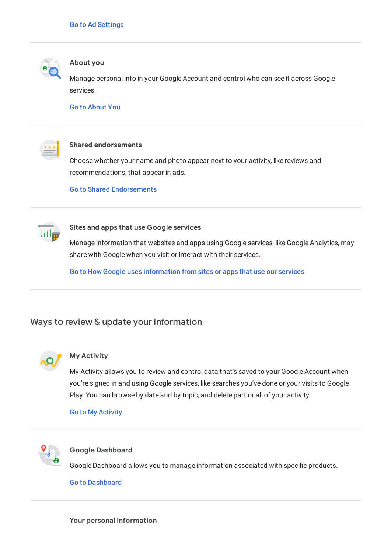

#### **About you**

Manage personal info in your Google Account and control who can see it across Google services.

Go to [About](https://myaccount.google.com/profile?utm_source=pp) You



#### **Shared endorsements**

Choose whether your name and photo appear next to your activity, like reviews and recommendations, that appear in ads.

Go to Shared [Endorsements](https://myaccount.google.com/shared-endorsements?utm_source=pp)



#### **Sites and apps that use Google services**

Manage information that websites and apps using Google services, like Google Analytics, may share with Google when you visit or interact with their services.

Go to How Google uses [information](https://policies.google.com/technologies/partner-sites) from sites or apps that use our services

#### Ways to review & update your information



#### **My Activity**

My Activity allows you to review and control data that's saved to your Google Account when you're signed in and using Google services, like searches you've done or your visits to Google Play. You can browse by date and by topic, and delete part or all of your activity.

#### Go to My [Activity](https://myactivity.google.com/myactivity?utm_source=pp)



#### **Google Dashboard**

Google Dashboard allows you to manage information associated with specific products.

Go to [Dashboard](https://myaccount.google.com/dashboard?utm_source=pp)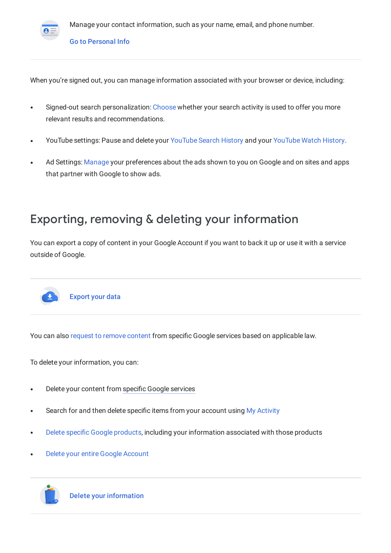

Go to [Personal](https://myaccount.google.com/personal-info?utm_source=pp) Info

When you're signed out, you can manage information associated with your browser or device, including:

- Signed-out search personalization: [Choose](https://www.google.com/history/optout?utm_source=pp) whether your search activity is used to offer you more relevant results and recommendations.
- YouTube settings: Pause and delete your [YouTube](https://www.youtube.com/feed/history/search_history?utm_source=pp) Search History and your [YouTube](https://www.youtube.com/feed/history?utm_source=pp) Watch History.  $\bullet$
- Ad Settings: [Manage](https://adssettings.google.com/?ref=privacy-policy) your preferences about the ads shown to you on Google and on sites and apps that partner with Google to show ads.

## Exporting, removing & deleting your information

You can export a copy of content in your Google Account if you want to back it up or use it with a service outside of Google.



[Export](https://takeout.google.com/?utm_source=pp) your data

You can also request to remove [content](https://support.google.com/legal?p=privpol_remove) from specific Google services based on applicable law.

To delete your information, you can:

- Delete your content from specific Google [services](#page-28-2)  $\bullet$
- Search for and then delete specific items from your account using My [Activity](https://myactivity.google.com/?utm_source=pp)
- Delete specific Google [products,](https://myaccount.google.com/deleteservices?utm_source=pp) including your information associated with those products  $\bullet$
- Delete your entire Google [Account](https://myaccount.google.com/deleteaccount?utm_source=pp)

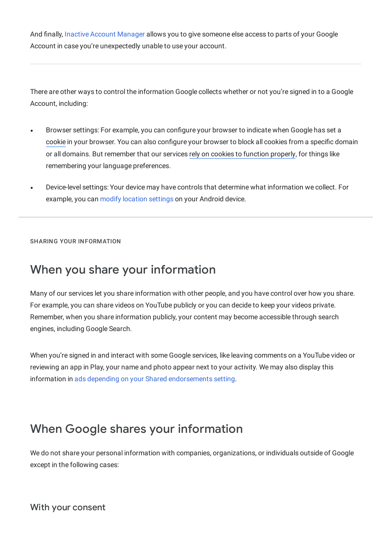And finally, Inactive Account [Manager](https://myaccount.google.com/inactive?utm_source=pp) allows you to give someone else access to parts of your Google Account in case you're unexpectedly unable to use your account.

There are other ways to control the information Google collects whether or not you're signed in to a Google Account, including:

- Browser settings: For example, you can configure your browser to indicate when Google has set a [cookie](#page-19-1) in your browser. You can also configure your browser to block all cookies from a specific domain or all domains. But remember that our services rely on cookies to [function](#page-27-4) properly, for things like remembering your language preferences.
- Device-level settings: Your device may have controls that determine what information we collect. For example, you can modify [location](https://support.google.com/websearch?p=privpol_locserp) settings on your Android device.

SHARING YOUR INFORMATION

### When you share your information

Many of our services let you share information with other people, and you have control over how you share. For example, you can share videos on YouTube publicly or you can decide to keep your videos private. Remember, when you share information publicly, your content may become accessible through search engines, including Google Search.

When you're signed in and interact with some Google services, like leaving comments on a YouTube video or reviewing an app in Play, your name and photo appear next to your activity. We may also display this information in ads depending on your Shared [endorsements](https://support.google.com/accounts?p=privpol_endorse) setting.

## When Google shares your information

We do not share your personal information with companies, organizations, or individuals outside of Google except in the following cases: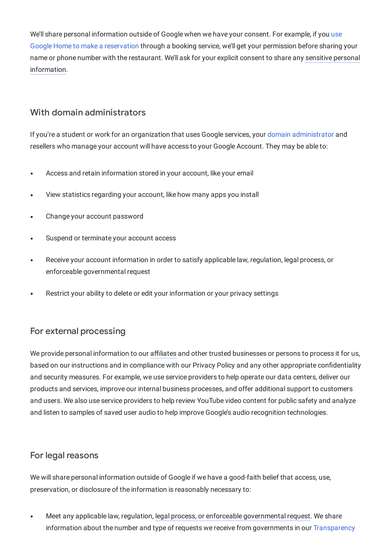We'll share personal [information](https://support.google.com/googlehome?p=privpol_homedata) outside of Google when we have your consent. For example, if you use Google Home to make a reservation through a booking service, we'll get your permission before sharing your name or phone number with the restaurant. We'll ask for your explicit consent to share any sensitive personal [information.](#page-20-4)

### With domain administrators

If you're a student or work for an organization that uses Google services, your domain [administrator](https://support.google.com/a?p=privpol_admin) and resellers who manage your account will have access to your Google Account. They may be able to:

- Access and retain information stored in your account, like your email
- View statistics regarding your account, like how many apps you install
- Change your account password
- Suspend or terminate your account access
- Receive your account information in order to satisfy applicable law, regulation, legal process, or enforceable governmental request
- Restrict your ability to delete or edit your information or your privacy settings

### For external processing

We provide personal information to our [affiliates](#page-18-0) and other trusted businesses or persons to process it for us, based on our instructions and in compliance with our Privacy Policy and any other appropriate confidentiality and security measures. For example, we use service providers to help operate our data centers, deliver our products and services, improve our internal business processes, and offer additional support to customers and users. We also use service providers to help review YouTube video content for public safety and analyze and listen to samples of saved user audio to help improve Google's audio recognition technologies.

#### For legal reasons

We will share personal information outside of Google if we have a good-faith belief that access, use, preservation, or disclosure of the information is reasonably necessary to:

Meet any applicable law, regulation, legal process, or enforceable [governmental](#page-25-3) request. We share information about the number and type of requests we receive from governments in our [Transparency](https://transparencyreport.google.com/user-data/overview)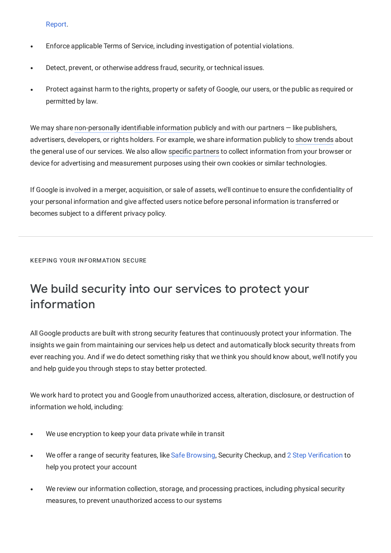[Report.](https://transparencyreport.google.com/user-data/overview)

- Enforce applicable Terms of Service, including investigation of potential violations.
- Detect, prevent, or otherwise address fraud, security, or technical issues.
- Protect against harm to the rights, property or safety of Google, our users, or the public as required or permitted by law.

We may share [non-personally](#page-20-5) identifiable information publicly and with our partners  $-$  like publishers, advertisers, developers, or rights holders. For example, we share information publicly to show [trends](#page-28-3) about the general use of our services. We also allow specific [partners](#page-29-3) to collect information from your browser or device for advertising and measurement purposes using their own cookies or similar technologies.

If Google is involved in a merger, acquisition, or sale of assets, we'll continue to ensure the confidentiality of your personal information and give affected users notice before personal information is transferred or becomes subject to a different privacy policy.

KEEPING YOUR INFORMATION SECURE

# We build security into our services to protect your information

All Google products are built with strong security features that continuously protect your information. The insights we gain from maintaining our services help us detect and automatically block security threats from ever reaching you. And if we do detect something risky that we think you should know about, we'll notify you and help guide you through steps to stay better protected.

We work hard to protect you and Google from unauthorized access, alteration, disclosure, or destruction of information we hold, including:

- We use encryption to keep your data private while in transit  $\bullet$
- We offer a range of security features, like Safe [Browsing](https://safebrowsing.google.com/?utm_source=pp), Security Checkup, and 2 Step [Verification](https://www.google.com/landing/2step/?utm_source=pp) to help you protect your account
- We review our information collection, storage, and processing practices, including physical security measures, to prevent unauthorized access to our systems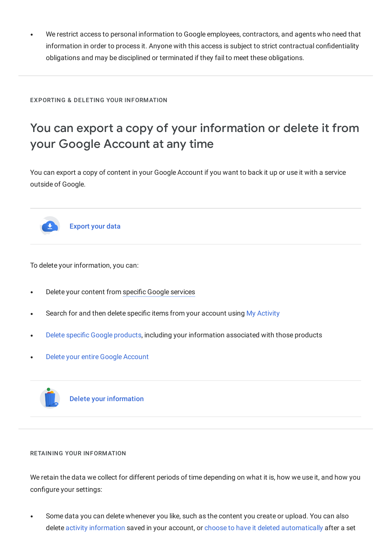We restrict access to personal information to Google employees, contractors, and agents who need that information in order to process it. Anyone with this access is subject to strict contractual confidentiality obligations and may be disciplined or terminated if they fail to meet these obligations.

EXPORTING & DELETING YOUR INFORMATION

# You can export a copy of your information or delete it from your Google Account at any time

You can export a copy of content in your Google Account if you want to back it up or use it with a service outside of Google.



To delete your information, you can:

- Delete your content from specific Google [services](#page-28-2)  $\bullet$
- Search for and then delete specific items from your account using My [Activity](https://myactivity.google.com/?utm_source=pp)  $\bullet$
- Delete specific Google [products,](https://myaccount.google.com/deleteservices?utm_source=pp) including your information associated with those products
- Delete your entire Google [Account](https://myaccount.google.com/deleteaccount?utm_source=pp)



Delete your [information](https://myaccount.google.com/delete-services-or-account?utm_source=pp)

#### RETAINING YOUR INFORMATION

We retain the data we collect for different periods of time depending on what it is, how we use it, and how you configure your settings:

Some data you can delete whenever you like, such as the content you create or upload. You can also delete activity [information](https://myactivity.google.com/myactivity) saved in your account, or choose to have it deleted [automatically](https://support.google.com/accounts/answer/465?authuser=0#auto-delete) after a set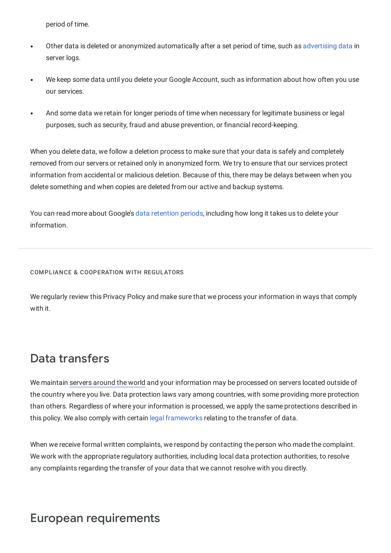period of time.

- Other data is deleted or anonymized automatically after a set period of time, such as [advertising](https://policies.google.com/technologies/ads) data in server logs.
- We keep some data until you delete your Google Account, such as information about how often you use our services.
- And some data we retain for longer periods of time when necessary for legitimate business or legal purposes, such as security, fraud and abuse prevention, or financial record-keeping.

When you delete data, we follow a deletion process to make sure that your data is safely and completely removed from our servers or retained only in anonymized form. We try to ensure that our services protect information from accidental or malicious deletion. Because of this, there may be delays between when you delete something and when copies are deleted from our active and backup systems.

You can read more about Google's data [retention](https://policies.google.com/technologies/retention) periods, including how long it takes us to delete your information.

#### COMPLIANCE & COOPERATION WITH REGULATORS

We regularly review this Privacy Policy and make sure that we process your information in ways that comply with it.

## Data transfers

We maintain [servers](#page-28-4) around the world and your information may be processed on servers located outside of the country where you live. Data protection laws vary among countries, with some providing more protection than others. Regardless of where your information is processed, we apply the same protections described in this policy. We also comply with certain legal [frameworks](https://policies.google.com/privacy/frameworks) relating to the transfer of data.

When we receive formal written complaints, we respond by contacting the person who made the complaint. We work with the appropriate regulatory authorities, including local data protection authorities, to resolve any complaints regarding the transfer of your data that we cannot resolve with you directly.

## European requirements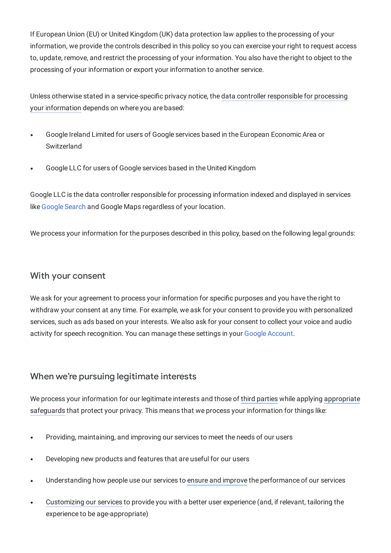If European Union (EU) or United Kingdom (UK) data protection law applies to the processing of your information, we provide the controls described in this policy so you can exercise your right to request access to, update, remove, and restrict the processing of your information. You also have the right to object to the processing of your information or export your information to another service.

Unless otherwise stated in a [service-specific](#page-24-3) privacy notice, the data controller responsible for processing your information depends on where you are based:

- Google Ireland Limited for users of Google services based in the European Economic Area or Switzerland
- Google LLC for users of Google services based in the United Kingdom  $\bullet$

Google LLC is the data controller responsible for processing information indexed and displayed in services like [Google](https://www.google.com/search/howsearchworks/crawling-indexing/) Search and Google Maps regardless of your location.

We process your information for the purposes described in this policy, based on the following legal grounds:

#### With your consent

We ask for your agreement to process your information for specific purposes and you have the right to withdraw your consent at any time. For example, we ask for your consent to provide you with personalized services, such as ads based on your interests. We also ask for your consent to collect your voice and audio activity for speech recognition. You can manage these settings in your Google [Account](https://myaccount.google.com/).

### When we're pursuing legitimate interests

We process your [information](#page-22-3) for our legitimate interests and those of third [parties](#page-29-4) while applying appropriate safeguards that protect your privacy. This means that we process your information for things like:

- Providing, maintaining, and improving our services to meet the needs of our users
- Developing new products and features that are useful for our users
- Understanding how people use our services to ensure and [improve](#page-25-4) the performance of our services
- [Customizing](#page-23-2) our services to provide you with a better user experience (and, if relevant, tailoring the experience to be age-appropriate)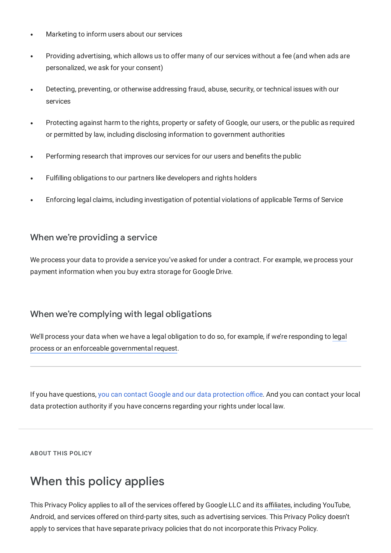- Marketing to inform users about our services
- Providing advertising, which allows us to offer many of our services without a fee (and when ads are personalized, we ask for your consent)
- Detecting, preventing, or otherwise addressing fraud, abuse, security, or technical issues with our services
- Protecting against harm to the rights, property or safety of Google, our users, or the public as required or permitted by law, including disclosing information to government authorities
- Performing research that improves our services for our users and benefits the public
- Fulfilling obligations to our partners like developers and rights holders
- Enforcing legal claims, including investigation of potential violations of applicable Terms of Service

### When we're providing a service

We process your data to provide a service you've asked for under a contract. For example, we process your payment information when you buy extra storage for Google Drive.

### When we're complying with legal obligations

We'll process your data when we have a legal obligation to do so, for example, if we're responding to legal process or an enforceable [governmental](#page-25-3) request.

If you have questions, you can contact Google and our data [protection](https://support.google.com/policies/troubleshooter/7575787) office. And you can contact your local data protection authority if you have concerns regarding your rights under local law.

ABOUT THIS POLICY

# When this policy applies

This Privacy Policy applies to all of the services offered by Google LLC and its [affiliates,](#page-18-0) including YouTube, Android, and services offered on third-party sites, such as advertising services. This Privacy Policy doesn't apply to services that have separate privacy policies that do not incorporate this Privacy Policy.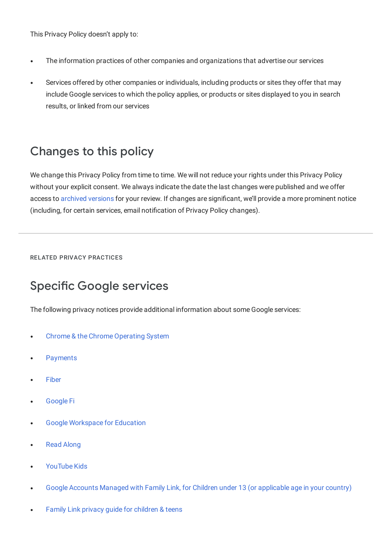This Privacy Policy doesn't apply to:

- The information practices of other companies and organizations that advertise our services
- Services offered by other companies or individuals, including products or sites they offer that may include Google services to which the policy applies, or products or sites displayed to you in search results, or linked from our services

## Changes to this policy

We change this Privacy Policy from time to time. We will not reduce your rights under this Privacy Policy without your explicit consent. We always indicate the date the last changes were published and we offer access to [archived](https://policies.google.com/privacy/archive) versions for your review. If changes are significant, we'll provide a more prominent notice (including, for certain services, email notification of Privacy Policy changes).

RELATED PRIVACY PRACTICES

# Specific Google services

The following privacy notices provide additional information about some Google services:

- Chrome & the Chrome [Operating](https://www.google.com/chrome/intl/en/privacy.html) System  $\bullet$
- [Payments](https://payments.google.com/legaldocument?family=0.privacynotice&hl=en)  $\bullet$
- [Fiber](https://fiber.google.com/legal/privacy.html)
- [Google](https://fi.google.com/about/tos/#project-fi-privacy-notice) Fi
- Google [Workspace](https://workspace.google.com/terms/education_privacy.html) for Education
- Read [Along](https://readalong.google/intl/en_IE/privacy)
- [YouTube](https://kids.youtube.com/privacynotice) Kids
- Google Accounts Managed with Family Link, for Children under 13 (or [applicable](https://families.google.com/familylink/privacy/child-policy/) age in your country)
- Family Link privacy guide for [children](https://families.google.com/familylink/privacy/child-disclosure/) & teens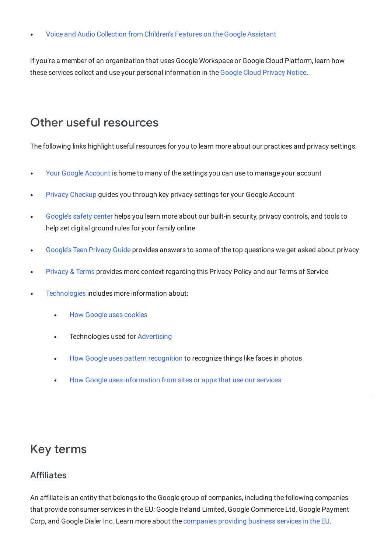If you're a member of an organization that uses Google Workspace or Google Cloud Platform, learn how these services collect and use your personal information in the Google Cloud [Privacy](https://cloud.google.com/terms/cloud-privacy-notice) Notice.

## Other useful resources

The following links highlight useful resources for you to learn more about our practices and privacy settings.

- Your Google [Account](https://myaccount.google.com/) is home to many of the settings you can use to manage your account
- Privacy [Checkup](https://myaccount.google.com/privacycheckup?utm_source=pp&utm_medium=Promo-in-product&utm_campaign=pp_body) guides you through key privacy settings for your Google Account
- [Google's](https://www.google.com/intl/en/safetycenter/) safety center helps you learn more about our built-in security, privacy controls, and tools to help set digital ground rules for your family online
- [Google's](https://www.google.com/policies/privacy/teens/) Teen Privacy Guide provides answers to some of the top questions we get asked about privacy
- [Privacy](https://policies.google.com/privacy) & Terms provides more context regarding this Privacy Policy and our Terms of Service
- [Technologies](https://policies.google.com/technologies) includes more information about:
	- How Google uses [cookies](https://policies.google.com/technologies/cookies)
	- Technologies used for [Advertising](https://policies.google.com/technologies/ads)  $\bullet$
	- How Google uses pattern [recognition](https://policies.google.com/technologies/pattern-recognition) to recognize things like faces in photos  $\bullet$
	- How Google uses [information](https://policies.google.com/technologies/partner-sites) from sites or apps that use our services  $\bullet$

## <span id="page-18-0"></span>Key terms

#### Affiliates

An affiliate is an entity that belongs to the Google group of companies, including the following companies that provide consumer services in the EU: Google Ireland Limited, Google Commerce Ltd, Google Payment Corp, and Google Dialer Inc. Learn more about the [companies](https://privacy.google.com/businesses/affiliates) providing business services in the EU.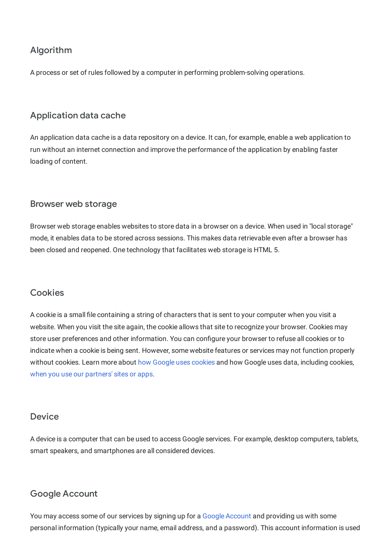### <span id="page-19-4"></span>Algorithm

<span id="page-19-3"></span>A process or set of rules followed by a computer in performing problem-solving operations.

### Application data cache

An application data cache is a data repository on a device. It can, for example, enable a web application to run without an internet connection and improve the performance of the application by enabling faster loading of content.

#### <span id="page-19-2"></span>Browser web storage

Browser web storage enables websites to store data in a browser on a device. When used in "local storage" mode, it enables data to be stored across sessions. This makes data retrievable even after a browser has been closed and reopened. One technology that facilitates web storage is HTML 5.

#### <span id="page-19-1"></span>Cookies

A cookie is a small file containing a string of characters that is sent to your computer when you visit a website. When you visit the site again, the cookie allows that site to recognize your browser. Cookies may store user preferences and other information. You can configure your browser to refuse all cookies or to indicate when a cookie is being sent. However, some website features or services may not function properly without [cookies](https://policies.google.com/technologies/cookies). Learn more about how Google uses cookies and how Google uses data, including cookies, when you use our [partners'](https://policies.google.com/technologies/partner-sites) sites or apps.

#### <span id="page-19-0"></span>Device

A device is a computer that can be used to access Google services. For example, desktop computers, tablets, smart speakers, and smartphones are all considered devices.

#### Google Account

You may access some of our services by signing up for a Google [Account](https://myaccount.google.com/) and providing us with some personal information (typically your name, email address, and a password). This account information is used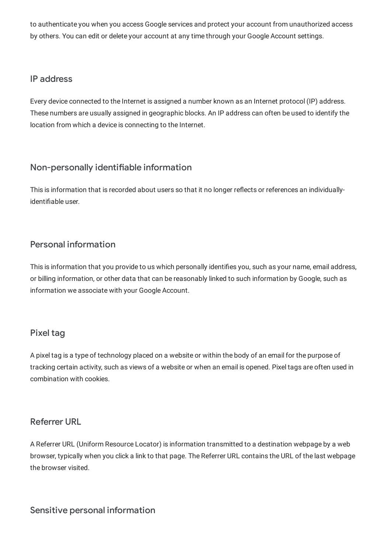<span id="page-20-1"></span>to authenticate you when you access Google services and protect your account from unauthorized access by others. You can edit or delete your account at any time through your Google Account settings.

#### IP address

Every device connected to the Internet is assigned a number known as an Internet protocol (IP) address. These numbers are usually assigned in geographic blocks. An IP address can often be used to identify the location from which a device is connecting to the Internet.

#### <span id="page-20-5"></span>Non-personally identifiable information

This is information that is recorded about users so that it no longer reflects or references an individuallyidentifiable user.

### <span id="page-20-0"></span>Personal information

This is information that you provide to us which personally identifies you, such as your name, email address, or billing information, or other data that can be reasonably linked to such information by Google, such as information we associate with your Google Account.

### <span id="page-20-3"></span>Pixel tag

A pixel tag is a type of technology placed on a website or within the body of an email for the purpose of tracking certain activity, such as views of a website or when an email is opened. Pixel tags are often used in combination with cookies.

#### <span id="page-20-2"></span>Referrer URL

<span id="page-20-4"></span>A Referrer URL (Uniform Resource Locator) is information transmitted to a destination webpage by a web browser, typically when you click a link to that page. The Referrer URL contains the URL of the last webpage the browser visited.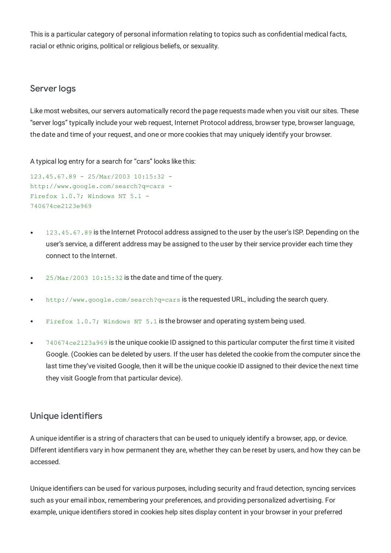<span id="page-21-1"></span>This is a particular category of personal information relating to topics such as confidential medical facts, racial or ethnic origins, political or religious beliefs, or sexuality.

#### Server logs

Like most websites, our servers automatically record the page requests made when you visit our sites. These "server logs" typically include your web request, Internet Protocol address, browser type, browser language, the date and time of your request, and one or more cookies that may uniquely identify your browser.

A typical log entry for a search for "cars" looks like this:

```
123.45.67.89 - 25/Mar/2003 10:15:32 -
http://www.google.com/search?q=cars -
Firefox 1.0.7; Windows NT 5.1 -
740674ce2123e969
```
- 123.45.67.89 is the Internet Protocol address assigned to the user by the user's ISP. Depending on the  $\bullet$ user's service, a different address may be assigned to the user by their service provider each time they connect to the Internet.
- 25/Mar/2003 10:15:32 is the date and time of the query.  $\bullet$
- http://www.google.com/search?q=cars is the requested URL, including the search query.  $\bullet$
- Firefox 1.0.7; Windows NT 5.1 is the browser and operating system being used.  $\bullet$
- 740674ce2123a969 is the unique cookie ID assigned to this particular computer the first time it visited Google. (Cookies can be deleted by users. If the user has deleted the cookie from the computer since the last time they've visited Google, then it will be the unique cookie ID assigned to their device the next time they visit Google from that particular device).

#### <span id="page-21-0"></span>Unique identifiers

A unique identifier is a string of characters that can be used to uniquely identify a browser, app, or device. Different identifiers vary in how permanent they are, whether they can be reset by users, and how they can be accessed.

Unique identifiers can be used for various purposes, including security and fraud detection, syncing services such as your email inbox, remembering your preferences, and providing personalized advertising. For example, unique identifiers stored in cookies help sites display content in your browser in your preferred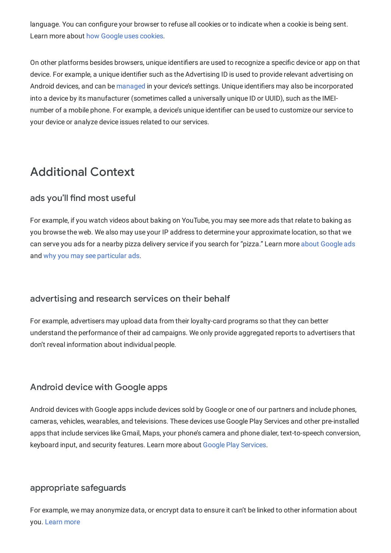language. You can configure your browser to refuse all cookies or to indicate when a cookie is being sent. Learn more about how Google uses [cookies](https://policies.google.com/technologies/cookies).

On other platforms besides browsers, unique identifiers are used to recognize a specific device or app on that device. For example, a unique identifier such as the Advertising ID is used to provide relevant advertising on Android devices, and can be [managed](https://policies.google.com/technologies/ads) in your device's settings. Unique identifiers may also be incorporated into a device by its manufacturer (sometimes called a universally unique ID or UUID), such as the IMEInumber of a mobile phone. For example, a device's unique identifier can be used to customize our service to your device or analyze device issues related to our services.

## Additional Context

#### <span id="page-22-0"></span>ads you'll find most useful

For example, if you watch videos about baking on YouTube, you may see more ads that relate to baking as you browse the web. We also may use your IP address to determine your approximate location, so that we can serve you ads for a nearby pizza delivery service if you search for "pizza." Learn more about [Google](https://support.google.com/accounts?p=privpol_whyad) ads and why you may see [particular](https://support.google.com/accounts?p=privpol_whyad) ads.

#### <span id="page-22-2"></span>advertising and research services on their behalf

For example, advertisers may upload data from their loyalty-card programs so that they can better understand the performance of their ad campaigns. We only provide aggregated reports to advertisers that don't reveal information about individual people.

#### <span id="page-22-1"></span>Android device with Google apps

Android devices with Google apps include devices sold by Google or one of our partners and include phones, cameras, vehicles, wearables, and televisions. These devices use Google Play Services and other pre-installed apps that include services like Gmail, Maps, your phone's camera and phone dialer, text-to-speech conversion, keyboard input, and security features. Learn more about Google Play [Services](https://support.google.com/android/answer/10546414).

#### <span id="page-22-3"></span>appropriate safeguards

For example, we may anonymize data, or encrypt data to ensure it can't be linked to other information about you. [Learn](https://policies.google.com/technologies/anonymization) more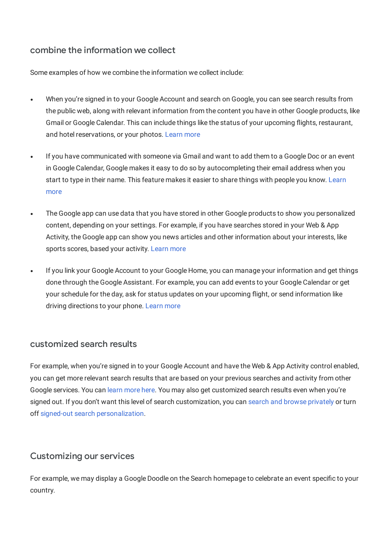### <span id="page-23-1"></span>combine the information we collect

Some examples of how we combine the information we collect include:

- When you're signed in to your Google Account and search on Google, you can see search results from the public web, along with relevant information from the content you have in other Google products, like Gmail or Google Calendar. This can include things like the status of your upcoming flights, restaurant, and hotel reservations, or your photos. [Learn](https://support.google.com/websearch?p=privpol_privresults&hl=en) more
- If you have communicated with someone via Gmail and want to add them to a Google Doc or an event in Google Calendar, Google makes it easy to do so by autocompleting their email address when you start to type in their name. This [feature](https://support.google.com/accounts?p=autocontacts&hl=en) makes it easier to share things with people you know. Learn more
- The Google app can use data that you have stored in other Google products to show you personalized content, depending on your settings. For example, if you have searches stored in your Web & App Activity, the Google app can show you news articles and other information about your interests, like sports scores, based your activity. [Learn](https://support.google.com/websearch?p=privpol_feed&hl=en) more
- If you link your Google Account to your Google Home, you can manage your information and get things done through the Google Assistant. For example, you can add events to your Google Calendar or get your schedule for the day, ask for status updates on your upcoming flight, or send information like driving directions to your phone. [Learn](https://support.google.com/googlehome?p=privpol_actions&hl=en) more

#### <span id="page-23-0"></span>customized search results

For example, when you're signed in to your Google Account and have the Web & App Activity control enabled, you can get more relevant search results that are based on your previous searches and activity from other Google services. You can learn [more](https://support.google.com/websearch?p=privpol_searchactivity) here. You may also get customized search results even when you're signed out. If you don't want this level of search customization, you can search and browse [privately](https://support.google.com/websearch?p=privpol_incognito) or turn off signed-out search [personalization](https://www.google.com/history/optout?utm_source=pp).

#### <span id="page-23-2"></span>Customizing our services

For example, we may display a Google Doodle on the Search homepage to celebrate an event specific to your country.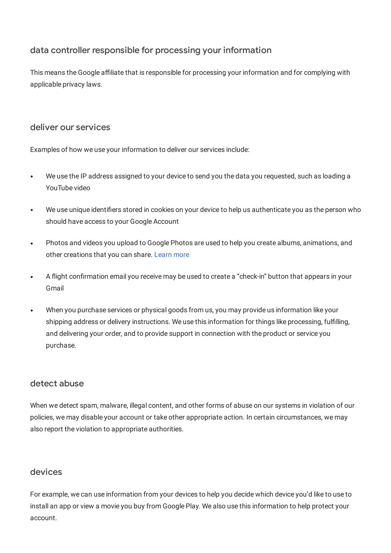### <span id="page-24-3"></span>data controller responsible for processing your information

<span id="page-24-1"></span>This means the Google affiliate that is responsible for processing your information and for complying with applicable privacy laws.

#### deliver our services

Examples of how we use your information to deliver our services include:

- We use the IP address assigned to your device to send you the data you requested, such as loading a YouTube video
- We use unique identifiers stored in cookies on your device to help us authenticate you as the person who should have access to your Google Account
- Photos and videos you upload to Google Photos are used to help you create albums, animations, and other creations that you can share. [Learn](https://support.google.com/photos?p=privpol_manage) more
- A flight confirmation email you receive may be used to create a "check-in" button that appears in your  $\bullet$ Gmail
- When you purchase services or physical goods from us, you may provide us information like your shipping address or delivery instructions. We use this information for things like processing, fulfilling, and delivering your order, and to provide support in connection with the product or service you purchase.

#### <span id="page-24-2"></span>detect abuse

When we detect spam, malware, illegal content, and other forms of abuse on our systems in violation of our policies, we may disable your account or take other appropriate action. In certain circumstances, we may also report the violation to appropriate authorities.

#### <span id="page-24-0"></span>devices

For example, we can use information from your devices to help you decide which device you'd like to use to install an app or view a movie you buy from Google Play. We also use this information to help protect your account.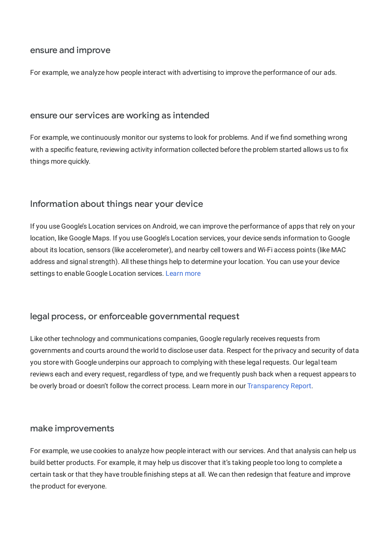#### <span id="page-25-4"></span>ensure and improve

<span id="page-25-1"></span>For example, we analyze how people interact with advertising to improve the performance of our ads.

#### ensure our services are working as intended

For example, we continuously monitor our systems to look for problems. And if we find something wrong with a specific feature, reviewing activity information collected before the problem started allows us to fix things more quickly.

#### <span id="page-25-0"></span>Information about things near your device

If you use Google's Location services on Android, we can improve the performance of apps that rely on your location, like Google Maps. If you use Google's Location services, your device sends information to Google about its location, sensors (like accelerometer), and nearby cell towers and Wi-Fi access points (like MAC address and signal strength). All these things help to determine your location. You can use your device settings to enable Google Location services. [Learn](https://support.google.com/accounts?p=privpol_androidloc&hl=en) more

#### <span id="page-25-3"></span>legal process, or enforceable governmental request

Like other technology and communications companies, Google regularly receives requests from governments and courts around the world to disclose user data. Respect for the privacy and security of data you store with Google underpins our approach to complying with these legal requests. Our legal team reviews each and every request, regardless of type, and we frequently push back when a request appears to be overly broad or doesn't follow the correct process. Learn more in our [Transparency](https://transparencyreport.google.com/user-data/overview) Report.

#### <span id="page-25-2"></span>make improvements

For example, we use cookies to analyze how people interact with our services. And that analysis can help us build better products. For example, it may help us discover that it's taking people too long to complete a certain task or that they have trouble finishing steps at all. We can then redesign that feature and improve the product for everyone.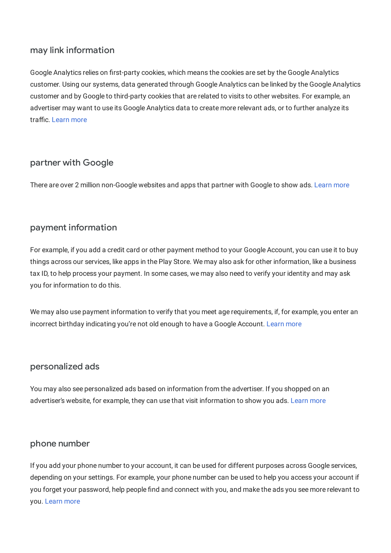#### <span id="page-26-3"></span>may link information

Google Analytics relies on first-party cookies, which means the cookies are set by the Google Analytics customer. Using our systems, data generated through Google Analytics can be linked by the Google Analytics customer and by Google to third-party cookies that are related to visits to other websites. For example, an advertiser may want to use its Google Analytics data to create more relevant ads, or to further analyze its traffic. [Learn](https://support.google.com/analytics?p=privpol_data&hl=en) more

#### <span id="page-26-4"></span>partner with Google

<span id="page-26-1"></span>There are over 2 million non-Google websites and apps that partner with Google to show ads. [Learn](https://support.google.com/accounts?p=privpol_controlads&hl=en) more

#### payment information

For example, if you add a credit card or other payment method to your Google Account, you can use it to buy things across our services, like apps in the Play Store. We may also ask for other information, like a business tax ID, to help process your payment. In some cases, we may also need to verify your identity and may ask you for information to do this.

<span id="page-26-2"></span>We may also use payment information to verify that you meet age requirements, if, for example, you enter an incorrect birthday indicating you're not old enough to have a Google Account. [Learn](https://support.google.com/accounts?p=privpol_agereq&hl=en) more

#### personalized ads

<span id="page-26-0"></span>You may also see personalized ads based on information from the advertiser. If you shopped on an advertiser's website, for example, they can use that visit information to show you ads. [Learn](https://support.google.com/accounts?p=privpol_whyad&hl=en) more

#### phone number

If you add your phone number to your account, it can be used for different purposes across Google services, depending on your settings. For example, your phone number can be used to help you access your account if you forget your password, help people find and connect with you, and make the ads you see more relevant to you. [Learn](https://support.google.com/accounts?p=privpol_phone&hl=en) more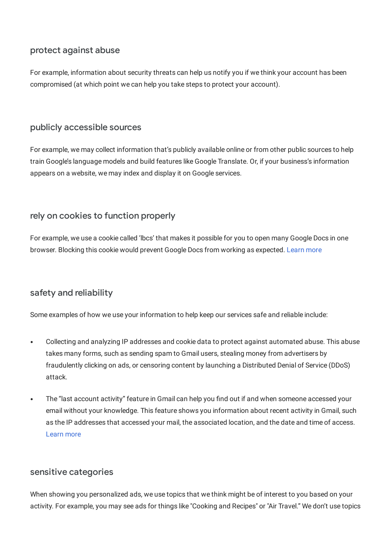### <span id="page-27-1"></span>protect against abuse

<span id="page-27-0"></span>For example, information about security threats can help us notify you if we think your account has been compromised (at which point we can help you take steps to protect your account).

#### publicly accessible sources

For example, we may collect information that's publicly available online or from other public sources to help train Google's language models and build features like Google Translate. Or, if your business's information appears on a website, we may index and display it on Google services.

### <span id="page-27-4"></span>rely on cookies to function properly

<span id="page-27-3"></span>For example, we use a cookie called 'lbcs' that makes it possible for you to open many Google Docs in one browser. Blocking this cookie would prevent Google Docs from working as expected. [Learn](https://policies.google.com/technologies/cookies#types-of-cookies) more

#### safety and reliability

Some examples of how we use your information to help keep our services safe and reliable include:

- Collecting and analyzing IP addresses and cookie data to protect against automated abuse. This abuse takes many forms, such as sending spam to Gmail users, stealing money from advertisers by fraudulently clicking on ads, or censoring content by launching a Distributed Denial of Service (DDoS) attack.
- The "last account activity" feature in Gmail can help you find out if and when someone accessed your email without your knowledge. This feature shows you information about recent activity in Gmail, such as the IP addresses that accessed your mail, the associated location, and the date and time of access. [Learn](https://support.google.com/mail?p=privpol_signinactivity&hl=en) more

#### <span id="page-27-2"></span>sensitive categories

When showing you personalized ads, we use topics that we think might be of interest to you based on your activity. For example, you may see ads for things like "Cooking and Recipes" or "Air Travel." We don't use topics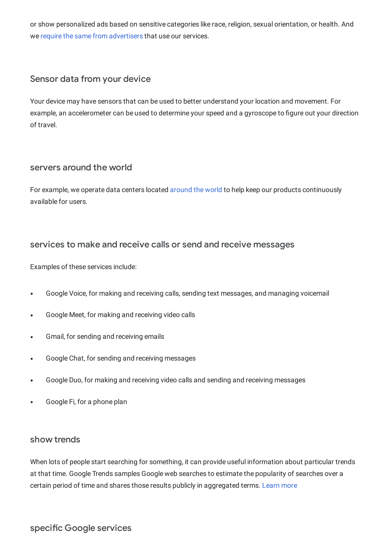<span id="page-28-1"></span>or show personalized ads based on sensitive categories like race, religion, sexual orientation, or health. And we require the same from [advertisers](https://support.google.com/adwordspolicy?p=privpol_p13nad) that use our services.

#### Sensor data from your device

Your device may have sensors that can be used to better understand your location and movement. For example, an accelerometer can be used to determine your speed and a gyroscope to figure out your direction of travel.

#### <span id="page-28-4"></span>servers around the world

<span id="page-28-0"></span>For example, we operate data centers located [around](https://www.google.com/about/datacenters/inside/locations) the world to help keep our products continuously available for users.

#### services to make and receive calls or send and receive messages

Examples of these services include:

- Google Voice, for making and receiving calls, sending text messages, and managing voicemail  $\bullet$
- $\bullet$ Google Meet, for making and receiving video calls
- Gmail, for sending and receiving emails  $\bullet$
- Google Chat, for sending and receiving messages  $\bullet$
- Google Duo, for making and receiving video calls and sending and receiving messages  $\bullet$
- <span id="page-28-3"></span>Google Fi, for a phone plan

#### show trends

<span id="page-28-2"></span>When lots of people start searching for something, it can provide useful information about particular trends at that time. Google Trends samples Google web searches to estimate the popularity of searches over a certain period of time and shares those results publicly in aggregated terms. [Learn](https://support.google.com/trends?p=privpol_about) more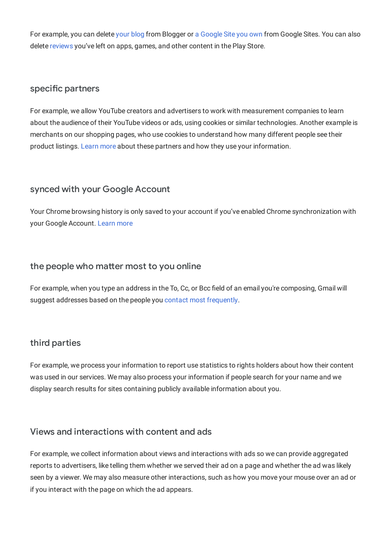<span id="page-29-3"></span>For example, you can delete [your](https://support.google.com/blogger?p=privpol_blog) blog from Blogger or a [Google](https://support.google.com/sites?p=privpol_delete) Site you own from Google Sites. You can also delete [reviews](https://support.google.com/googleplay?p=privpol_review) you've left on apps, games, and other content in the Play Store.

#### specific partners

For example, we allow YouTube creators and advertisers to work with measurement companies to learn about the audience of their YouTube videos or ads, using cookies or similar technologies. Another example is merchants on our shopping pages, who use cookies to understand how many different people see their product listings. [Learn](https://policies.google.com/privacy/google-partners) more about these partners and how they use your information.

#### <span id="page-29-2"></span>synced with your Google Account

<span id="page-29-0"></span>Your Chrome browsing history is only saved to your account if you've enabled Chrome synchronization with your Google Account. [Learn](https://support.google.com/chrome?p=privpol_chrsync) more

#### the people who matter most to you online

<span id="page-29-4"></span>For example, when you type an address in the To, Cc, or Bcc field of an email you're composing, Gmail will suggest addresses based on the people you contact most [frequently](https://contacts.google.com/).

#### third parties

For example, we process your information to report use statistics to rights holders about how their content was used in our services. We may also process your information if people search for your name and we display search results for sites containing publicly available information about you.

#### <span id="page-29-1"></span>Views and interactions with content and ads

For example, we collect information about views and interactions with ads so we can provide aggregated reports to advertisers, like telling them whether we served their ad on a page and whether the ad was likely seen by a viewer. We may also measure other interactions, such as how you move your mouse over an ad or if you interact with the page on which the ad appears.